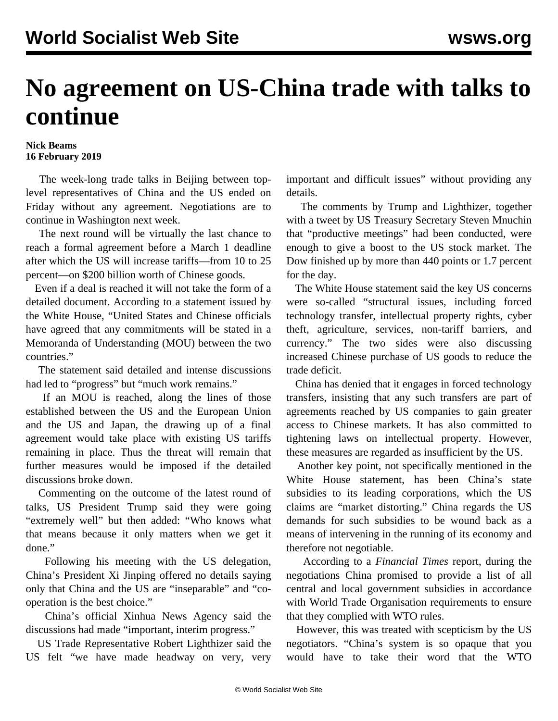## **No agreement on US-China trade with talks to continue**

## **Nick Beams 16 February 2019**

 The week-long trade talks in Beijing between toplevel representatives of China and the US ended on Friday without any agreement. Negotiations are to continue in Washington next week.

 The next round will be virtually the last chance to reach a formal agreement before a March 1 deadline after which the US will increase tariffs—from 10 to 25 percent—on \$200 billion worth of Chinese goods.

 Even if a deal is reached it will not take the form of a detailed document. According to a statement issued by the White House, "United States and Chinese officials have agreed that any commitments will be stated in a Memoranda of Understanding (MOU) between the two countries."

 The statement said detailed and intense discussions had led to "progress" but "much work remains."

 If an MOU is reached, along the lines of those established between the US and the European Union and the US and Japan, the drawing up of a final agreement would take place with existing US tariffs remaining in place. Thus the threat will remain that further measures would be imposed if the detailed discussions broke down.

 Commenting on the outcome of the latest round of talks, US President Trump said they were going "extremely well" but then added: "Who knows what that means because it only matters when we get it done."

 Following his meeting with the US delegation, China's President Xi Jinping offered no details saying only that China and the US are "inseparable" and "cooperation is the best choice."

 China's official Xinhua News Agency said the discussions had made "important, interim progress."

 US Trade Representative Robert Lighthizer said the US felt "we have made headway on very, very important and difficult issues" without providing any details.

 The comments by Trump and Lighthizer, together with a tweet by US Treasury Secretary Steven Mnuchin that "productive meetings" had been conducted, were enough to give a boost to the US stock market. The Dow finished up by more than 440 points or 1.7 percent for the day.

 The White House statement said the key US concerns were so-called "structural issues, including forced technology transfer, intellectual property rights, cyber theft, agriculture, services, non-tariff barriers, and currency." The two sides were also discussing increased Chinese purchase of US goods to reduce the trade deficit.

 China has denied that it engages in forced technology transfers, insisting that any such transfers are part of agreements reached by US companies to gain greater access to Chinese markets. It has also committed to tightening laws on intellectual property. However, these measures are regarded as insufficient by the US.

 Another key point, not specifically mentioned in the White House statement, has been China's state subsidies to its leading corporations, which the US claims are "market distorting." China regards the US demands for such subsidies to be wound back as a means of intervening in the running of its economy and therefore not negotiable.

 According to a *Financial Times* report, during the negotiations China promised to provide a list of all central and local government subsidies in accordance with World Trade Organisation requirements to ensure that they complied with WTO rules.

 However, this was treated with scepticism by the US negotiators. "China's system is so opaque that you would have to take their word that the WTO